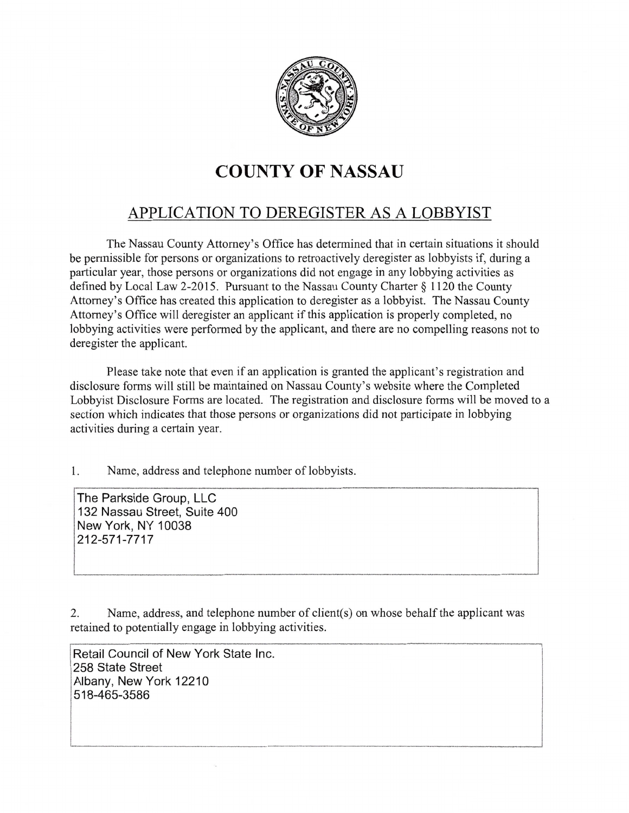

## COUNTY OF NASSAU

## APPLICATION TO DEREGISTER AS A LOBBYIST

The Nassau County Attomey's Offlce has determined that in certain situations it should be permissible for persons or organizations to retroactively deregister as lobbyists if, during a particular year, those persons or organizations did not engage in any lobbying activities as defined by Local Law 2-2015. Pursuant to the Nassau County Charter § 1120 the County Attomey's Office has created this application to deregister as a lobbyist. The Nassau County Attomey's Office will deregister an applicant if this application is properly completed, no lobbying activities were performed by the applicant, and there are no compelling reasons not to deregister the applicant.

Please take note that even if an application is granted the applicant's registration and disclosure forms will still be maintained on Nassau County's website where the Completed Lobbyist Disclosure Forms are located. The registration and disclosure forms will be moved to a section which indicates that those persons or organizations did not participate in lobbying activities during a certain year.

I. Name, address and telephone number of lobbyists.

The Parkside Group, LLC 132 Nassau Street, Suite 400 New York, NY 10038 212-571 -7717

2. Name, address, and telephone number of client(s) on whose behalf the applicant was retained to potentially engage in lobbying activities.

Retail Council of New York State lnc. 258 State Street Albany, New York 12210 518-465-3586